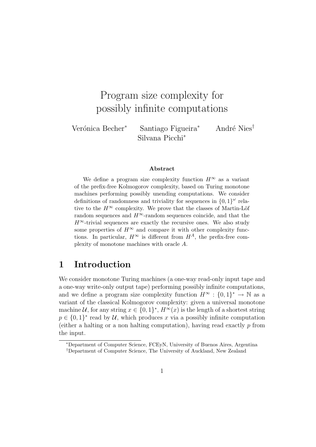# Program size complexity for possibly infinite computations

Verónica Becher<sup>∗</sup> Santiago Figueira<sup>∗</sup> André Nies<sup>†</sup> Silvana Picchi<sup>∗</sup>

#### Abstract

We define a program size complexity function  $H^{\infty}$  as a variant of the prefix-free Kolmogorov complexity, based on Turing monotone machines performing possibly unending computations. We consider definitions of randomness and triviality for sequences in  ${0,1}^{\omega}$  relative to the  $H^{\infty}$  complexity. We prove that the classes of Martin-Löf random sequences and  $H^{\infty}$ -random sequences coincide, and that the  $H^{\infty}$ -trivial sequences are exactly the recursive ones. We also study some properties of  $H^{\infty}$  and compare it with other complexity functions. In particular,  $H^{\infty}$  is different from  $H^{A}$ , the prefix-free complexity of monotone machines with oracle A.

### 1 Introduction

We consider monotone Turing machines (a one-way read-only input tape and a one-way write-only output tape) performing possibly infinite computations, and we define a program size complexity function  $H^{\infty} : \{0,1\}^* \to \mathbb{N}$  as a variant of the classical Kolmogorov complexity: given a universal monotone machine U, for any string  $x \in \{0,1\}^*, H^\infty(x)$  is the length of a shortest string  $p \in \{0,1\}^*$  read by U, which produces x via a possibly infinite computation (either a halting or a non halting computation), having read exactly  $p$  from the input.

<sup>∗</sup>Department of Computer Science, FCEyN, University of Buenos Aires, Argentina

<sup>†</sup>Department of Computer Science, The University of Auckland, New Zealand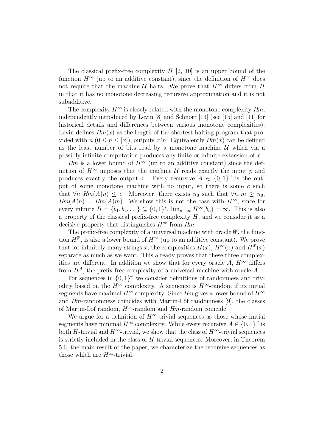The classical prefix-free complexity  $H$  [2, 10] is an upper bound of the function  $H^{\infty}$  (up to an additive constant), since the definition of  $H^{\infty}$  does not require that the machine  $U$  halts. We prove that  $H^{\infty}$  differs from H in that it has no monotone decreasing recursive approximation and it is not subadditive.

The complexity  $H^{\infty}$  is closely related with the monotone complexity  $Hm$ , independently introduced by Levin [8] and Schnorr [13] (see [15] and [11] for historical details and differences between various monotone complexities). Levin defines  $Hm(x)$  as the length of the shortest halting program that provided with  $n (0 \le n \le |x|)$ , outputs  $x \upharpoonright n$ . Equivalently  $Hm(x)$  can be defined as the least number of bits read by a monotone machine  $U$  which via a possibly infinite computation produces any finite or infinite extension of x.

Hm is a lower bound of  $H^{\infty}$  (up to an additive constant) since the definition of  $H^{\infty}$  imposes that the machine U reads exactly the input p and produces exactly the output x. Every recursive  $A \in \{0,1\}^{\omega}$  is the output of some monotone machine with no input, so there is some  $c$  such that  $\forall n \ Hm(A\upharpoonright n) \leq c$ . Moreover, there exists  $n_0$  such that  $\forall n,m \geq n_0$ ,  $Hm(A\upharpoonright n) = Hm(A\upharpoonright m)$ . We show this is not the case with  $H^{\infty}$ , since for every infinite  $B = \{b_1, b_2, \ldots\} \subseteq \{0, 1\}^*$ ,  $\lim_{n \to \infty} H^{\infty}(b_n) = \infty$ . This is also a property of the classical prefix-free complexity  $H$ , and we consider it as a decisive property that distinguishes  $H^{\infty}$  from  $H_m$ .

The prefix-free complexity of a universal machine with oracle  $\emptyset'$ , the function  $H^{\emptyset'}$ , is also a lower bound of  $H^{\infty}$  (up to an additive constant). We prove that for infinitely many strings x, the complexities  $H(x)$ ,  $H^{\infty}(x)$  and  $H^{\emptyset'}(x)$ separate as much as we want. This already proves that these three complexities are different. In addition we show that for every oracle A,  $H^{\infty}$  differs from  $H^A$ , the prefix-free complexity of a universal machine with oracle A.

For sequences in  ${0,1}^{\omega}$  we consider definitions of randomness and triviality based on the  $H^{\infty}$  complexity. A sequence is  $H^{\infty}$ -random if its initial segments have maximal  $H^{\infty}$  complexity. Since Hm gives a lower bound of  $H^{\infty}$ and  $Hm$ -randomness coincides with Martin-Löf randomness [9], the classes of Martin-Löf random,  $H^{\infty}$ -random and  $Hm$ -random coincide.

We argue for a definition of  $H^{\infty}$ -trivial sequences as those whose initial segments have minimal  $H^{\infty}$  complexity. While every recursive  $A \in \{0,1\}^{\omega}$  is both H-trivial and  $H^{\infty}$ -trivial, we show that the class of  $H^{\infty}$ -trivial sequences is strictly included in the class of H-trivial sequences. Moreover, in Theorem 5.6, the main result of the paper, we characterize the recursive sequences as those which are  $H^{\infty}$ -trivial.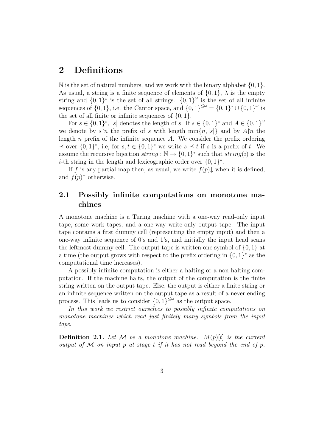### 2 Definitions

N is the set of natural numbers, and we work with the binary alphabet  $\{0, 1\}$ . As usual, a string is a finite sequence of elements of  $\{0, 1\}$ ,  $\lambda$  is the empty string and  $\{0,1\}^*$  is the set of all strings.  $\{0,1\}^\omega$  is the set of all infinite sequences of  $\{0, 1\}$ , i.e. the Cantor space, and  $\{0, 1\}^{\leq \omega} = \{0, 1\}^* \cup \{0, 1\}^{\omega}$  is the set of all finite or infinite sequences of  $\{0, 1\}.$ 

For  $s \in \{0,1\}^*$ ,  $|s|$  denotes the length of s. If  $s \in \{0,1\}^*$  and  $A \in \{0,1\}^{\omega}$ we denote by  $s[n]$  the prefix of s with length  $\min\{n, |s|\}$  and by  $A[n]$  the length n prefix of the infinite sequence A. We consider the prefix ordering  $\preceq$  over  $\{0,1\}^*$ , i.e, for  $s,t \in \{0,1\}^*$  we write  $s \preceq t$  if s is a prefix of t. We assume the recursive bijection  $string : \mathbb{N} \to \{0,1\}^*$  such that  $string(i)$  is the *i*-th string in the length and lexicographic order over  $\{0,1\}^*$ .

If f is any partial map then, as usual, we write  $f(p)$  when it is defined, and  $f(p)$ † otherwise.

### 2.1 Possibly infinite computations on monotone machines

A monotone machine is a Turing machine with a one-way read-only input tape, some work tapes, and a one-way write-only output tape. The input tape contains a first dummy cell (representing the empty input) and then a one-way infinite sequence of 0's and 1's, and initially the input head scans the leftmost dummy cell. The output tape is written one symbol of  $\{0, 1\}$  at a time (the output grows with respect to the prefix ordering in  $\{0,1\}^*$  as the computational time increases).

A possibly infinite computation is either a halting or a non halting computation. If the machine halts, the output of the computation is the finite string written on the output tape. Else, the output is either a finite string or an infinite sequence written on the output tape as a result of a never ending process. This leads us to consider  $\{0,1\}^{\leq \omega}$  as the output space.

In this work we restrict ourselves to possibly infinite computations on monotone machines which read just finitely many symbols from the input tape.

**Definition 2.1.** Let M be a monotone machine.  $M(p)[t]$  is the current output of  $M$  on input p at stage t if it has not read beyond the end of p.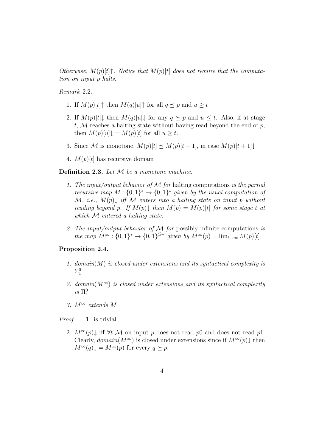Otherwise,  $M(p)[t]$ <sup> $\uparrow$ </sup>. Notice that  $M(p)[t]$  does not require that the computation on input p halts.

Remark 2.2.

- 1. If  $M(p)[t]$ <sup> $\uparrow$ </sup> then  $M(q)[u]$ <sup> $\uparrow$ </sup> for all  $q \preceq p$  and  $u \geq t$
- 2. If  $M(p)[t] \downarrow$  then  $M(q)[u] \downarrow$  for any  $q \succeq p$  and  $u \leq t$ . Also, if at stage t,  $M$  reaches a halting state without having read beyond the end of  $p$ , then  $M(p)[u] \downarrow = M(p)[t]$  for all  $u \geq t$ .
- 3. Since M is monotone,  $M(p)[t] \preceq M(p)[t + 1]$ , in case  $M(p)[t + 1] \downarrow$
- 4.  $M(p)[t]$  has recursive domain

**Definition 2.3.** Let  $M$  be a monotone machine.

- 1. The input/output behavior of  $\mathcal M$  for halting computations is the partial recursive map  $M: \{0,1\}^* \to \{0,1\}^*$  given by the usual computation of  $\mathcal{M}, i.e., M(p)$  iff  $\mathcal M$  enters into a halting state on input p without reading beyond p. If  $M(p)$  then  $M(p) = M(p)[t]$  for some stage t at which M entered a halting state.
- 2. The input/output behavior of  $M$  for possibly infinite computations is the map  $M^{\infty} : \{0,1\}^* \to \{0,1\}^{\leq \omega}$  given by  $M^{\infty}(p) = \lim_{t \to \infty} M(p)[t]$

#### Proposition 2.4.

- 1. domain $(M)$  is closed under extensions and its syntactical complexity is  $\Sigma^0_1$
- 2. domain( $M^{\infty}$ ) is closed under extensions and its syntactical complexity  $is \Pi_1^0$
- 3.  $M^{\infty}$  extends M

*Proof.* 1. is trivial.

2.  $M^{\infty}(p)$  iff  $\forall t \mathcal{M}$  on input p does not read p0 and does not read p1. Clearly,  $domain(M^{\infty})$  is closed under extensions since if  $M^{\infty}(p)$  then  $M^{\infty}(q)\downarrow = M^{\infty}(p)$  for every  $q \succeq p$ .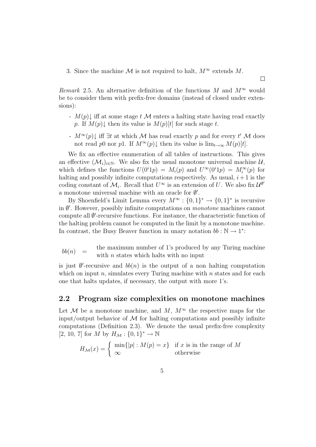3. Since the machine M is not required to halt,  $M^{\infty}$  extends M.

Remark 2.5. An alternative definition of the functions M and  $M^{\infty}$  would be to consider them with prefix-free domains (instead of closed under extensions):

-  $M(p)$  iff at some stage t M enters a halting state having read exactly p. If  $M(p)$  then its value is  $M(p)[t]$  for such stage t.

 $\Box$ 

-  $M^{\infty}(p)$  iff  $\exists t$  at which M has read exactly p and for every t' M does not read p0 nor p1. If  $M^{\infty}(p)\downarrow$  then its value is  $\lim_{t\to\infty} M(p)[t]$ .

We fix an effective enumeration of all tables of instructions. This gives an effective  $(\mathcal{M}_i)_{i\in\mathbb{N}}$ . We also fix the usual monotone universal machine  $\mathcal{U},$ which defines the functions  $U(0^i 1p) = M_i(p)$  and  $U^{\infty}(0^i 1p) = M_i^{\infty}(p)$  for halting and possibly infinite computations respectively. As usual,  $i+1$  is the coding constant of  $\mathcal{M}_i$ . Recall that  $U^{\infty}$  is an extension of U. We also fix  $\mathcal{U}^{\emptyset'}$ a monotone universal machine with an oracle for  $\emptyset'$ .

By Shoenfield's Limit Lemma every  $M^{\infty} : \{0,1\}^* \to \{0,1\}^*$  is recursive in  $\emptyset'$ . However, possibly infinite computations on *monotone* machines cannot compute all Ø'-recursive functions. For instance, the characteristic function of the halting problem cannot be computed in the limit by a monotone machine. In contrast, the Busy Beaver function in unary notation  $bb : \mathbb{N} \to 1^*$ :

 $bb(n)$  = the maximum number of 1's produced by any Turing machine with  $n$  states which halts with no input

is just  $\emptyset'$ -recursive and  $bb(n)$  is the output of a non halting computation which on input  $n$ , simulates every Turing machine with  $n$  states and for each one that halts updates, if necessary, the output with more 1's.

#### 2.2 Program size complexities on monotone machines

Let M be a monotone machine, and M,  $M^{\infty}$  the respective maps for the input/output behavior of  $\mathcal M$  for halting computations and possibly infinite computations (Definition 2.3). We denote the usual prefix-free complexity [2, 10, 7] for M by  $H_{\mathcal{M}}:\{0,1\}^*\rightarrow \mathbb{N}$ 

$$
H_{\mathcal{M}}(x) = \begin{cases} \min\{|p| : M(p) = x\} & \text{if } x \text{ is in the range of } M \\ \infty & \text{otherwise} \end{cases}
$$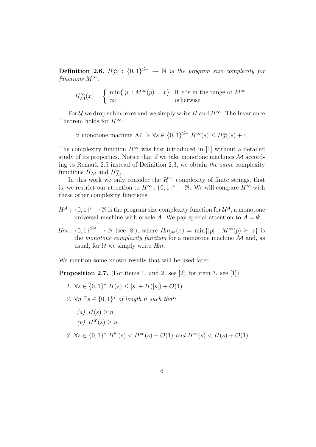**Definition 2.6.**  $H^{\infty}_{\mathcal{M}}$  :  $\{0,1\}^{\leq \omega} \to \mathbb{N}$  is the program size complexity for functions  $M^{\infty}$ .

$$
H^{\infty}_{\mathcal{M}}(x) = \begin{cases} \min\{|p| : M^{\infty}(p) = x\} & \text{if } x \text{ is in the range of } M^{\infty} \\ \infty & \text{otherwise} \end{cases}
$$

For U we drop subindexes and we simply write H and  $H^{\infty}$ . The Invariance Theorem holds for  $H^{\infty}$ :

 $\forall$  monotone machine  $\mathcal{M} \exists c \ \forall s \in \{0,1\}^{\leq \omega} H^{\infty}(s) \leq H^{\infty}_{\mathcal{M}}(s) + c.$ 

The complexity function  $H^{\infty}$  was first introduced in [1] without a detailed study of its properties. Notice that if we take monotone machines M according to Remark 2.5 instead of Definition 2.3, we obtain the same complexity functions  $H_{\mathcal{M}}$  and  $H_{\mathcal{M}}^{\infty}$ .

In this work we only consider the  $H^{\infty}$  complexity of finite strings, that is, we restrict our attention to  $H^{\infty} : \{0,1\}^* \to \mathbb{N}$ . We will compare  $H^{\infty}$  with these other complexity functions:

- $H^A: \{0,1\}^* \to \mathbb{N}$  is the program size complexity function for  $\mathcal{U}^A$ , a monotone universal machine with oracle A. We pay special attention to  $A = \emptyset'$ .
- $Hm: \{0,1\}^{\leq \omega} \to \mathbb{N}$  (see [8]), where  $Hm_{\mathcal{M}}(x) = \min\{|p| : M^{\infty}(p) \succeq x\}$  is the monotone complexity function for a monotone machine  $\mathcal M$  and, as usual, for  $U$  we simply write  $Hm$ .

We mention some known results that will be used later.

**Proposition 2.7.** (For items 1. and 2. see [2], for item 3. see [1])

- 1.  $\forall s \in \{0,1\}^*$   $H(s) \leq |s| + H(|s|) + \mathcal{O}(1)$
- 2.  $\forall n \exists s \in \{0,1\}^*$  of length n such that:
	- (a)  $H(s) > n$ (b)  $H^{\emptyset'}(s) \geq n$
- 3.  $\forall s \in \{0,1\}^*$   $H^{\emptyset'}(s) < H^{\infty}(s) + \mathcal{O}(1)$  and  $H^{\infty}(s) < H(s) + \mathcal{O}(1)$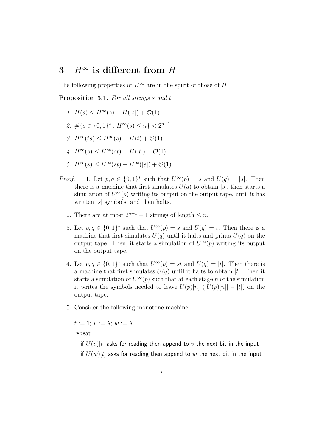## 3  $H^\infty$  is different from H

The following properties of  $H^{\infty}$  are in the spirit of those of H.

Proposition 3.1. For all strings s and t

- 1.  $H(s) \leq H^{\infty}(s) + H(|s|) + \mathcal{O}(1)$
- 2.  $\#\{s \in \{0,1\}^* : H^\infty(s) \leq n\} < 2^{n+1}$
- 3.  $H^{\infty}(ts) \leq H^{\infty}(s) + H(t) + \mathcal{O}(1)$
- 4.  $H^{\infty}(s) \leq H^{\infty}(st) + H(|t|) + \mathcal{O}(1)$
- 5.  $H^{\infty}(s) < H^{\infty}(st) + H^{\infty}(|s|) + \mathcal{O}(1)$
- *Proof.* 1. Let  $p, q \in \{0, 1\}^*$  such that  $U^{\infty}(p) = s$  and  $U(q) = |s|$ . Then there is a machine that first simulates  $U(q)$  to obtain |s|, then starts a simulation of  $U^{\infty}(p)$  writing its output on the output tape, until it has written  $|s|$  symbols, and then halts.
	- 2. There are at most  $2^{n+1} 1$  strings of length  $\leq n$ .
	- 3. Let  $p, q \in \{0, 1\}^*$  such that  $U^{\infty}(p) = s$  and  $U(q) = t$ . Then there is a machine that first simulates  $U(q)$  until it halts and prints  $U(q)$  on the output tape. Then, it starts a simulation of  $U^{\infty}(p)$  writing its output on the output tape.
	- 4. Let  $p, q \in \{0, 1\}^*$  such that  $U^{\infty}(p) = st$  and  $U(q) = |t|$ . Then there is a machine that first simulates  $U(q)$  until it halts to obtain |t|. Then it starts a simulation of  $U^{\infty}(p)$  such that at each stage n of the simulation it writes the symbols needed to leave  $U(p)[n][(|U(p)[n]| - |t|)$  on the output tape.
	- 5. Consider the following monotone machine:

 $t := 1$ :  $v := \lambda$ ;  $w := \lambda$ 

repeat

if  $U(v)[t]$  asks for reading then append to v the next bit in the input if  $U(w)[t]$  asks for reading then append to w the next bit in the input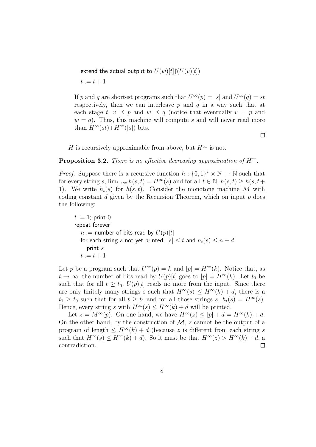extend the actual output to  $U(w)[t]$ [ $(U(v)[t])$ ]  $t := t + 1$ 

If p and q are shortest programs such that  $U^{\infty}(p) = |s|$  and  $U^{\infty}(q) = st$ respectively, then we can interleave  $p$  and  $q$  in a way such that at each stage t,  $v \preceq p$  and  $w \preceq q$  (notice that eventually  $v = p$  and  $w = q$ . Thus, this machine will compute s and will never read more than  $H^{\infty}(st)+H^{\infty}(|s|)$  bits.

 $\Box$ 

H is recursively approximable from above, but  $H^{\infty}$  is not.

#### **Proposition 3.2.** There is no effective decreasing approximation of  $H^{\infty}$ .

*Proof.* Suppose there is a recursive function  $h: \{0,1\}^* \times \mathbb{N} \to \mathbb{N}$  such that for every string s,  $\lim_{t\to\infty} h(s,t) = H^{\infty}(s)$  and for all  $t \in \mathbb{N}$ ,  $h(s,t) \geq h(s,t) +$ 1). We write  $h_t(s)$  for  $h(s,t)$ . Consider the monotone machine M with coding constant d given by the Recursion Theorem, which on input  $p$  does the following:

 $t := 1$ ; print 0 repeat forever  $n :=$  number of bits read by  $U(p)[t]$ for each string s not yet printed,  $|s| \le t$  and  $h_t(s) \le n + d$ print  $s$  $t := t + 1$ 

Let p be a program such that  $U^{\infty}(p) = k$  and  $|p| = H^{\infty}(k)$ . Notice that, as  $t \to \infty$ , the number of bits read by  $U(p)[t]$  goes to  $|p| = H^{\infty}(k)$ . Let  $t_0$  be such that for all  $t \geq t_0$ ,  $U(p)[t]$  reads no more from the input. Since there are only finitely many strings s such that  $H^{\infty}(s) \leq H^{\infty}(k) + d$ , there is a  $t_1 \geq t_0$  such that for all  $t \geq t_1$  and for all those strings s,  $h_t(s) = H^{\infty}(s)$ . Hence, every string s with  $H^{\infty}(s) \leq H^{\infty}(k) + d$  will be printed.

Let  $z = M^{\infty}(p)$ . On one hand, we have  $H^{\infty}(z) \leq |p| + d = H^{\infty}(k) + d$ . On the other hand, by the construction of  $\mathcal{M}$ , z cannot be the output of a program of length  $\leq H^{\infty}(k) + d$  (because z is different from each string s such that  $H^{\infty}(s) \leq H^{\infty}(k) + d$ . So it must be that  $H^{\infty}(z) > H^{\infty}(k) + d$ , a contradiction.  $\Box$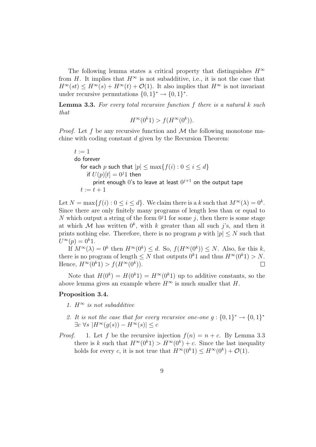The following lemma states a critical property that distinguishes  $H^{\infty}$ from H. It implies that  $H^{\infty}$  is not subadditive, i.e., it is not the case that  $H^{\infty}(st) \leq H^{\infty}(s) + H^{\infty}(t) + \mathcal{O}(1)$ . It also implies that  $H^{\infty}$  is not invariant under recursive permutations  $\{0,1\}^* \to \{0,1\}^*$ .

**Lemma 3.3.** For every total recursive function  $f$  there is a natural  $k$  such that

$$
H^{\infty}(0^k 1) > f(H^{\infty}(0^k)).
$$

*Proof.* Let f be any recursive function and  $M$  the following monotone machine with coding constant d given by the Recursion Theorem:

 $t := 1$ do forever for each p such that  $|p| \le \max\{f(i): 0 \le i \le d\}$ if  $U(p)[t] = 0<sup>j</sup>1$  then print enough  $0$ 's to leave at least  $0^{j+1}$  on the output tape  $t := t + 1$ 

Let  $N = \max\{f(i) : 0 \le i \le d\}$ . We claim there is a k such that  $M^{\infty}(\lambda) = 0^k$ . Since there are only finitely many programs of length less than or equal to N which output a string of the form  $0<sup>j</sup>1$  for some j, then there is some stage at which M has written  $0^k$ , with k greater than all such j's, and then it prints nothing else. Therefore, there is no program p with  $|p| \leq N$  such that  $U^{\infty}(p) = 0^k 1.$ 

If  $M^{\infty}(\lambda) = 0^k$  then  $H^{\infty}(0^k) \leq d$ . So,  $f(H^{\infty}(0^k)) \leq N$ . Also, for this k, there is no program of length  $\leq N$  that outputs  $0^k1$  and thus  $H^{\infty}(0^k1) > N$ . Hence,  $H^{\infty}(0^k 1) > f(H^{\infty}(0^k)).$  $\Box$ 

Note that  $H(0^k) = H(0^k 1) = H^{\infty}(0^k 1)$  up to additive constants, so the above lemma gives an example where  $H^{\infty}$  is much smaller that H.

#### Proposition 3.4.

- 1.  $H^{\infty}$  is not subadditive
- 2. It is not the case that for every recursive one-one  $g: \{0,1\}^* \rightarrow \{0,1\}^*$  $\exists c \forall s | H^{\infty}(q(s)) - H^{\infty}(s)| \leq c$
- *Proof.* 1. Let f be the recursive injection  $f(n) = n + c$ . By Lemma 3.3 there is k such that  $H^{\infty}(0^k) > H^{\infty}(0^k) + c$ . Since the last inequality holds for every c, it is not true that  $H^{\infty}(0^k) \leq H^{\infty}(0^k) + \mathcal{O}(1)$ .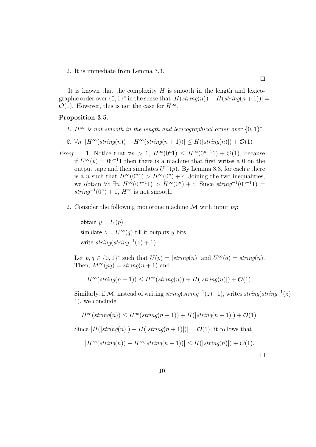2. It is immediate from Lemma 3.3.

It is known that the complexity  $H$  is smooth in the length and lexicographic order over  $\{0,1\}^*$  in the sense that  $|H(\text{string}(n)) - H(\text{string}(n+1))|$  $\mathcal{O}(1)$ . However, this is not the case for  $H^{\infty}$ .

#### Proposition 3.5.

1.  $H^{\infty}$  is not smooth in the length and lexicographical order over  $\{0,1\}^*$ 

2. 
$$
\forall n \ | H^{\infty}(string(n)) - H^{\infty}(string(n+1))| \leq H(|string(n)|) + O(1)
$$

- *Proof.* 1. Notice that  $\forall n > 1$ ,  $H^{\infty}(0^n 1) \leq H^{\infty}(0^{n-1} 1) + \mathcal{O}(1)$ , because if  $U^{\infty}(p) = 0^{n-1}1$  then there is a machine that first writes a 0 on the output tape and then simulates  $U^{\infty}(p)$ . By Lemma 3.3, for each c there is a *n* such that  $H^{\infty}(0^n) > H^{\infty}(0^n) + c$ . Joining the two inequalities, we obtain  $\forall c \ \exists n \ H^{\infty}(0^{n-1}1) > H^{\infty}(0^n) + c$ . Since  $string^{-1}(0^{n-1}1) =$  $string^{-1}(0^n) + 1, H^{\infty}$  is not smooth.
	- 2. Consider the following monotone machine  $\mathcal M$  with input  $pq$ .

obtain  $y = U(p)$ simulate  $z = U^\infty(q)$  till it outputs  $y$  bits write  $string(string^{-1}(z) + 1)$ 

Let  $p, q \in \{0, 1\}^*$  such that  $U(p) = |string(n)|$  and  $U^{\infty}(q) = string(n)$ . Then,  $M^{\infty}(pq) = string(n+1)$  and

$$
H^{\infty}(string(n+1)) \leq H^{\infty}(string(n)) + H(|string(n)|) + \mathcal{O}(1).
$$

Similarly, if M, instead of writing  $string(string^{-1}(z)+1)$ , writes  $string(string^{-1}(z)-1)$ 1), we conclude

$$
H^{\infty}(string(n)) \leq H^{\infty}(string(n+1)) + H(|string(n+1)|) + \mathcal{O}(1).
$$

Since  $|H(|string(n)|) - H(|string(n+1)|)| = \mathcal{O}(1)$ , it follows that

$$
|H^{\infty}(string(n)) - H^{\infty}(string(n+1))| \leq H(|string(n)|) + O(1).
$$

 $\Box$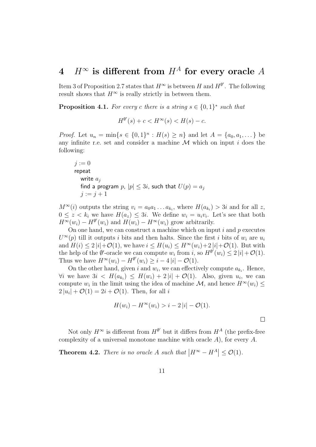## 4  $H^{\infty}$  is different from  $H^{A}$  for every oracle A

Item 3 of Proposition 2.7 states that  $H^{\infty}$  is between H and  $H^{\emptyset'}$ . The following result shows that  $H^{\infty}$  is really strictly in between them.

**Proposition 4.1.** For every c there is a string  $s \in \{0,1\}^*$  such that

$$
H^{\emptyset'}(s) + c < H^{\infty}(s) < H(s) - c.
$$

*Proof.* Let  $u_n = \min\{s \in \{0,1\}^n : H(s) \geq n\}$  and let  $A = \{a_0, a_1, \dots\}$  be any infinite r.e. set and consider a machine  $\mathcal M$  which on input i does the following:

$$
j := 0
$$
  
repeat  
write  $a_j$   
find a program  $p$ ,  $|p| \le 3i$ , such that  $U(p) = a_j$   
 $j := j + 1$ 

 $M^{\infty}(i)$  outputs the string  $v_i = a_0 a_1 \dots a_{k_i}$ , where  $H(a_{k_i}) > 3i$  and for all z,  $0 \leq z < k_i$  we have  $H(a_z) \leq 3i$ . We define  $w_i = u_i v_i$ . Let's see that both  $H^{\infty}(w_i) - H^{\emptyset'}(w_i)$  and  $H(w_i) - H^{\infty}(w_i)$  grow arbitrarily.

On one hand, we can construct a machine which on input  $i$  and  $p$  executes  $U^{\infty}(p)$  till it outputs i bits and then halts. Since the first i bits of  $w_i$  are  $u_i$ and  $H(i) \leq 2 |i| + \mathcal{O}(1)$ , we have  $i \leq H(u_i) \leq H^{\infty}(w_i) + 2 |i| + \mathcal{O}(1)$ . But with the help of the  $\emptyset'$ -oracle we can compute  $w_i$  from i, so  $H^{\emptyset'}(w_i) \leq 2|i| + \mathcal{O}(1)$ . Thus we have  $H^{\infty}(w_i) - H^{\emptyset\prime}(w_i) \geq i - 4|i| - \mathcal{O}(1)$ .

On the other hand, given i and  $w_i$ , we can effectively compute  $a_{k_i}$ . Hence,  $\forall i$  we have  $3i < H(a_{k_i}) \leq H(w_i) + 2|i| + \mathcal{O}(1)$ . Also, given  $u_i$ , we can compute  $w_i$  in the limit using the idea of machine  $\mathcal{M}$ , and hence  $H^{\infty}(w_i) \leq$  $2|u_i| + \mathcal{O}(1) = 2i + \mathcal{O}(1)$ . Then, for all i

$$
H(w_i) - H^{\infty}(w_i) > i - 2|i| - \mathcal{O}(1).
$$

Not only  $H^{\infty}$  is different from  $H^{\emptyset'}$  but it differs from  $H^A$  (the prefix-free complexity of a universal monotone machine with oracle A), for every A.

**Theorem 4.2.** There is no oracle A such that  $|H^{\infty} - H^A| \leq \mathcal{O}(1)$ .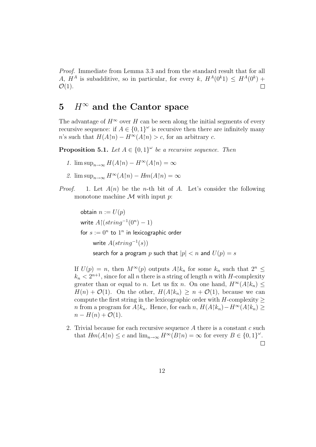Proof. Immediate from Lemma 3.3 and from the standard result that for all A,  $H^A$  is subadditive, so in particular, for every k,  $H^A(0^k) \leq H^A(0^k) +$  $\Box$  $\mathcal{O}(1)$ .

### 5  $H^\infty$  and the Cantor space

The advantage of  $H^{\infty}$  over H can be seen along the initial segments of every recursive sequence: if  $A \in \{0,1\}^\omega$  is recursive then there are infinitely many n's such that  $H(A\upharpoonright n) - H^{\infty}(A\upharpoonright n) > c$ , for an arbitrary c.

**Proposition 5.1.** Let  $A \in \{0,1\}^\omega$  be a recursive sequence. Then

- 1.  $\limsup_{n\to\infty} H(A\upharpoonright n) H^{\infty}(A\upharpoonright n) = \infty$
- 2.  $\limsup_{n\to\infty} H^{\infty}(A[n) Hm(A[n]) = \infty$
- *Proof.* 1. Let  $A(n)$  be the *n*-th bit of A. Let's consider the following monotone machine  $M$  with input  $p$ :

obtain  $n := U(p)$ write  $A \upharpoonright (string^{-1}(0^n) - 1)$ for  $s := 0^n$  to  $1^n$  in lexicographic order write  $A(string^{-1}(s))$ search for a program p such that  $|p| < n$  and  $U(p) = s$ 

If  $U(p) = n$ , then  $M^{\infty}(p)$  outputs  $A[k_n]$  for some  $k_n$  such that  $2^n \leq$  $k_n < 2^{n+1}$ , since for all n there is a string of length n with H-complexity greater than or equal to n. Let us fix n. On one hand,  $H^{\infty}(A|k_n) \leq$  $H(n) + \mathcal{O}(1)$ . On the other,  $H(A|k_n) \geq n + \mathcal{O}(1)$ , because we can compute the first string in the lexicographic order with  $H$ -complexity  $>$ n from a program for  $A\upharpoonright k_n$ . Hence, for each n,  $H(A\upharpoonright k_n)-H^{\infty}(A\upharpoonright k_n) \geq$  $n - H(n) + \mathcal{O}(1)$ .

2. Trivial because for each recursive sequence  $A$  there is a constant  $c$  such that  $Hm(A\upharpoonright n) \leq c$  and  $\lim_{n\to\infty} H^{\infty}(B\upharpoonright n) = \infty$  for every  $B \in \{0,1\}^{\omega}$ .  $\Box$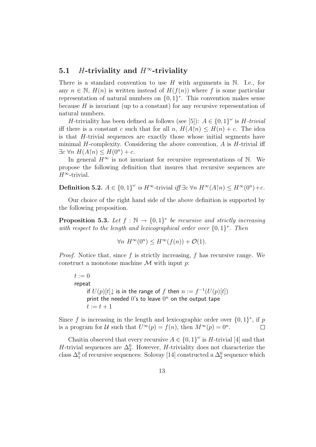### 5.1 *H*-triviality and  $H^{\infty}$ -triviality

There is a standard convention to use  $H$  with arguments in  $\mathbb N$ . I.e., for any  $n \in \mathbb{N}$ ,  $H(n)$  is written instead of  $H(f(n))$  where f is some particular representation of natural numbers on  $\{0,1\}^*$ . This convention makes sense because  $H$  is invariant (up to a constant) for any recursive representation of natural numbers.

*H*-triviality has been defined as follows (see [5]):  $A \in \{0,1\}^\omega$  is *H*-trivial iff there is a constant c such that for all n,  $H(A\upharpoonright n) \leq H(n) + c$ . The idea is that H-trivial sequences are exactly those whose initial segments have minimal  $H$ -complexity. Considering the above convention,  $A$  is  $H$ -trivial iff  $\exists c \forall n \ H(A \upharpoonright n) \leq H(0^n) + c.$ 

In general  $H^{\infty}$  is not invariant for recursive representations of N. We propose the following definition that insures that recursive sequences are  $H^{\infty}$ -trivial.

**Definition 5.2.**  $A \in \{0,1\}^{\omega}$  is  $H^{\infty}$ -trivial iff  $\exists c \forall n \ H^{\infty}(A \upharpoonright n) \leq H^{\infty}(0^n) + c$ .

Our choice of the right hand side of the above definition is supported by the following proposition.

**Proposition 5.3.** Let  $f : \mathbb{N} \to \{0,1\}^*$  be recursive and strictly increasing with respect to the length and lexicographical order over  $\{0,1\}^*$ . Then

$$
\forall n \ H^{\infty}(0^n) \le H^{\infty}(f(n)) + \mathcal{O}(1).
$$

*Proof.* Notice that, since f is strictly increasing, f has recursive range. We construct a monotone machine  $\mathcal M$  with input  $p$ :

 $t := 0$ repeat if  $U(p)[t] \downarrow$  is in the range of f then  $n := f^{-1}(U(p)[t])$ print the needed  $0$ 's to leave  $0<sup>n</sup>$  on the output tape  $t := t + 1$ 

Since f is increasing in the length and lexicographic order over  $\{0,1\}^*$ , if p is a program for U such that  $U^{\infty}(p) = f(n)$ , then  $M^{\infty}(p) = 0^n$ .  $\Box$ 

Chaitin observed that every recursive  $A \in \{0,1\}^\omega$  is H-trivial [4] and that H-trivial sequences are  $\Delta_2^0$ . However, H-triviality does not characterize the class  $\Delta_1^0$  of recursive sequences: Solovay [14] constructed a  $\Delta_2^0$  sequence which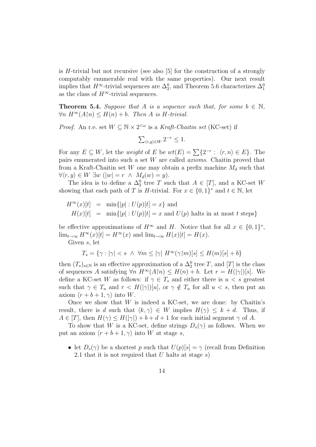is H-trivial but not recursive (see also [5] for the construction of a strongly computably enumerable real with the same properties). Our next result implies that  $H^{\infty}$ -trivial sequences are  $\Delta_2^0$ , and Theorem 5.6 characterizes  $\Delta_1^0$ as the class of  $H^{\infty}$ -trivial sequences.

**Theorem 5.4.** Suppose that A is a sequence such that, for some  $b \in \mathbb{N}$ ,  $\forall n \ H^{\infty}(A \cap \mathbb{R}) \leq H(n) + b$ . Then A is H-trivial.

*Proof.* An r.e. set  $W \subseteq \mathbb{N} \times 2^{<\omega}$  is a *Kraft-Chaitin set* (KC-set) if

$$
\sum_{\langle r,y\rangle \in W} 2^{-r} \le 1.
$$

For any  $E \subseteq W$ , let the *weight* of E be  $wt(E) = \sum \{2^{-r} : \langle r, n \rangle \in E\}$ . The pairs enumerated into such a set W are called axioms. Chaitin proved that from a Kraft-Chaitin set W one may obtain a prefix machine  $M_d$  such that  $\forall \langle r, y \rangle \in W \exists w \ (\vert w \vert = r \ \land \ M_d(w) = y).$ 

The idea is to define a  $\Delta_2^0$  tree T such that  $A \in [T]$ , and a KC-set W showing that each path of T is H-trivial. For  $x \in \{0,1\}^*$  and  $t \in \mathbb{N}$ , let

$$
H^{\infty}(x)[t] = \min\{|p| : U(p)[t] = x\} \text{ and}
$$
  

$$
H(x)[t] = \min\{|p| : U(p)[t] = x \text{ and } U(p) \text{ halts in at most } t \text{ steps}\}
$$

be effective approximations of  $H^{\infty}$  and H. Notice that for all  $x \in \{0,1\}^*$ ,  $\lim_{t\to\infty} H^{\infty}(x)[t] = H^{\infty}(x)$  and  $\lim_{t\to\infty} H(x)[t] = H(x)$ .

Given s, let

$$
T_s = \{ \gamma : |\gamma| < s \ \land \ \forall m \le |\gamma| \ H^\infty(\gamma \upharpoonright m)[s] \le H(m)[s] + b \}
$$

then  $(T_s)_{s \in \mathbb{N}}$  is an effective approximation of a  $\Delta_2^0$  tree T, and  $[T]$  is the class of sequences A satisfying  $\forall n \ H^{\infty}(A \upharpoonright n) \leq H(n) + b$ . Let  $r = H(|\gamma|)[s]$ . We define a KC-set W as follows: if  $\gamma \in T_s$  and either there is  $u < s$  greatest such that  $\gamma \in T_u$  and  $r < H(|\gamma|)[u]$ , or  $\gamma \notin T_u$  for all  $u < s$ , then put an axiom  $\langle r + b + 1, \gamma \rangle$  into W.

Once we show that  $W$  is indeed a KC-set, we are done: by Chaitin's result, there is d such that  $\langle k, \gamma \rangle \in W$  implies  $H(\gamma) \leq k + d$ . Thus, if  $A \in [T]$ , then  $H(\gamma) \leq H(|\gamma|) + b + d + 1$  for each initial segment  $\gamma$  of A.

To show that W is a KC-set, define strings  $D_s(\gamma)$  as follows. When we put an axiom  $\langle r + b + 1, \gamma \rangle$  into W at stage s,

• let  $D_s(\gamma)$  be a shortest p such that  $U(p)[s] = \gamma$  (recall from Definition 2.1 that it is not required that  $U$  halts at stage  $s$ )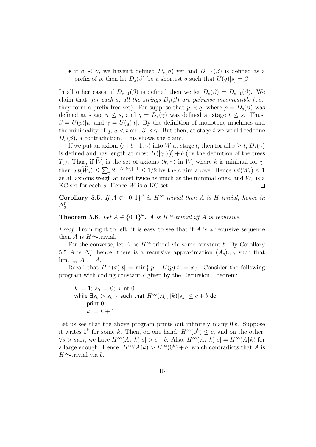• if  $\beta \prec \gamma$ , we haven't defined  $D_s(\beta)$  yet and  $D_{s-1}(\beta)$  is defined as a prefix of p, then let  $D_s(\beta)$  be a shortest q such that  $U(q)[s] = \beta$ 

In all other cases, if  $D_{s-1}(\beta)$  is defined then we let  $D_s(\beta) = D_{s-1}(\beta)$ . We claim that, for each s, all the strings  $D_s(\beta)$  are pairwise incompatible (i.e., they form a prefix-free set). For suppose that  $p \prec q$ , where  $p = D_s(\beta)$  was defined at stage  $u \leq s$ , and  $q = D_s(\gamma)$  was defined at stage  $t \leq s$ . Thus,  $\beta = U(p)[u]$  and  $\gamma = U(q)[t]$ . By the definition of monotone machines and the minimality of q,  $u < t$  and  $\beta \prec \gamma$ . But then, at stage t we would redefine  $D_u(\beta)$ , a contradiction. This shows the claim.

If we put an axiom  $\langle r+b+1, \gamma \rangle$  into W at stage t, then for all  $s \geq t$ ,  $D_s(\gamma)$ is defined and has length at most  $H(|\gamma|)[t] + b$  (by the definition of the trees  $T_s$ ). Thus, if  $\widetilde{W}_s$  is the set of axioms  $\langle k, \gamma \rangle$  in  $W_s$  where k is minimal for  $\gamma$ , then  $wt(\overline{W}_s) \leq \sum_{\gamma} 2^{-|D_s(\gamma)|-1} \leq 1/2$  by the claim above. Hence  $wt(W_s) \leq 1$ as all axioms weigh at most twice as much as the minimal ones, and  $W_s$  is a KC-set for each  $s$ . Hence  $W$  is a KC-set. П

Corollary 5.5. If  $A \in \{0,1\}^\omega$  is  $H^\infty$ -trivial then A is H-trivial, hence in  $\Delta^0_2$ .

**Theorem 5.6.** Let  $A \in \{0,1\}^{\omega}$ . A is  $H^{\infty}$ -trivial iff A is recursive.

*Proof.* From right to left, it is easy to see that if  $\tilde{A}$  is a recursive sequence then A is  $H^{\infty}$ -trivial.

For the converse, let A be  $H^{\infty}$ -trivial via some constant b. By Corollary 5.5 A is  $\Delta_2^0$ , hence, there is a recursive approximation  $(A_s)_{s\in\mathbb{N}}$  such that  $\lim_{s\to\infty} A_s = A.$ 

Recall that  $H^{\infty}(x)[t] = \min\{|p| : U(p)[t] = x\}$ . Consider the following program with coding constant c given by the Recursion Theorem:

 $k := 1$ ;  $s_0 := 0$ ; print 0 while  $\exists s_k > s_{k-1}$  such that  $H^\infty(A_{s_k} \restriction k)[s_k] \le c + b$  do print 0  $k := k + 1$ 

Let us see that the above program prints out infinitely many 0's. Suppose it writes  $0^k$  for some k. Then, on one hand,  $H^{\infty}(0^k) \leq c$ , and on the other,  $\forall s > s_{k-1}$ , we have  $H^{\infty}(A_s[k][s] > c+b$ . Also,  $H^{\infty}(A_s[k][s] = H^{\infty}(A[k])$  for s large enough. Hence,  $H^{\infty}(A[k]) > H^{\infty}(0^k) + b$ , which contradicts that A is  $H^{\infty}$ -trivial via b.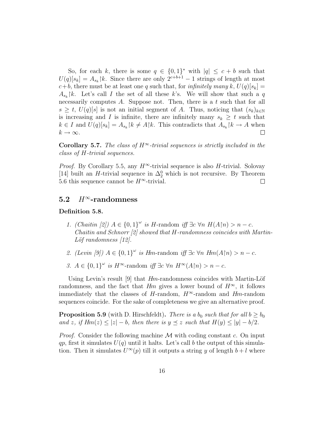So, for each k, there is some  $q \in \{0,1\}^*$  with  $|q| \leq c + b$  such that  $U(q)[s_k] = A_{s_k}$  |k. Since there are only  $2^{c+b+1} - 1$  strings of length at most  $c+b$ , there must be at least one q such that, for *infinitely many k*,  $U(q)[s_k] =$  $A_{s_k}$ |k. Let's call I the set of all these k's. We will show that such a q necessarily computes  $A$ . Suppose not. Then, there is a  $t$  such that for all  $s \geq t$ ,  $U(q)[s]$  is not an initial segment of A. Thus, noticing that  $(s_k)_{k\in\mathbb{N}}$ is increasing and I is infinite, there are infinitely many  $s_k \geq t$  such that  $k \in I$  and  $U(q)[s_k] = A_{s_k} \upharpoonright k \neq A \upharpoonright k$ . This contradicts that  $A_{s_k} \upharpoonright k \to A$  when  $k \to \infty$ .  $\Box$ 

Corollary 5.7. The class of  $H^{\infty}$ -trivial sequences is strictly included in the class of H-trivial sequences.

*Proof.* By Corollary 5.5, any  $H^{\infty}$ -trivial sequence is also H-trivial. Solovay [14] built an H-trivial sequence in  $\Delta_2^0$  which is not recursive. By Theorem 5.6 this sequence cannot be  $H^{\infty}$ -trivial.  $\Box$ 

### 5.2  $H^{\infty}$ -randomness

#### Definition 5.8.

- 1. (Chaitin [2])  $A \in \{0,1\}^\omega$  is H-random iff  $\exists c \forall n \ H(A \upharpoonright n) > n c$ . Chaitin and Schnorr [2] showed that H-randomness coincides with Martin- $L\ddot{\rho}$  randomness [12].
- 2. (Levin [9])  $A \in \{0,1\}^\omega$  is Hm-random iff  $\exists c \forall n \ Hm(A\upharpoonright n) > n c$ .
- 3.  $A \in \{0,1\}^\omega$  is  $H^\infty$ -random iff  $\exists c \forall n \ H^\infty(A \upharpoonright n) > n c$ .

Using Levin's result [9] that  $Hm$ -randomness coincides with Martin-Löf randomness, and the fact that Hm gives a lower bound of  $H^{\infty}$ , it follows immediately that the classes of H-random,  $H^{\infty}$ -random and Hm-random sequences coincide. For the sake of completeness we give an alternative proof.

**Proposition 5.9** (with D. Hirschfeldt). There is a  $b_0$  such that for all  $b \geq b_0$ and z, if  $Hm(z) \le |z| - b$ , then there is  $y \preceq z$  such that  $H(y) \le |y| - b/2$ .

*Proof.* Consider the following machine  $\mathcal M$  with coding constant c. On input qp, first it simulates  $U(q)$  until it halts. Let's call b the output of this simulation. Then it simulates  $U^{\infty}(p)$  till it outputs a string y of length  $b + l$  where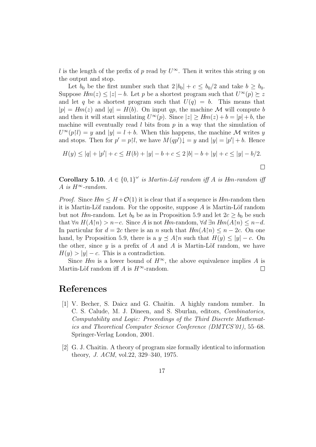l is the length of the prefix of p read by  $U^{\infty}$ . Then it writes this string y on the output and stop.

Let  $b_0$  be the first number such that  $2 |b_0| + c \leq b_0/2$  and take  $b \geq b_0$ . Suppose  $Hm(z) \leq |z| - b$ . Let p be a shortest program such that  $U^{\infty}(p) \succeq z$ and let q be a shortest program such that  $U(q) = b$ . This means that  $|p| = Hm(z)$  and  $|q| = H(b)$ . On input qp, the machine M will compute b and then it will start simulating  $U^{\infty}(p)$ . Since  $|z| \geq Hm(z) + b = |p| + b$ , the machine will eventually read  $l$  bits from  $p$  in a way that the simulation of  $U^{\infty}(p|l) = y$  and  $|y| = l + b$ . When this happens, the machine M writes y and stops. Then for  $p' = p\vert l$ , we have  $M(qp')\downarrow = y$  and  $|y| = |p'| + b$ . Hence

$$
H(y) \le |q| + |p'| + c \le H(b) + |y| - b + c \le 2|b| - b + |y| + c \le |y| - b/2.
$$

 $\Box$ 

**Corollary 5.10.**  $A \in \{0,1\}^\omega$  is Martin-Löf random iff A is Hm-random iff A is  $H^{\infty}$ -random.

*Proof.* Since  $Hm \leq H + \mathcal{O}(1)$  it is clear that if a sequence is  $Hm$ -random then it is Martin-Löf random. For the opposite, suppose  $A$  is Martin-Löf random but not Hm-random. Let  $b_0$  be as in Proposition 5.9 and let  $2c \ge b_0$  be such that  $\forall n H(A \cap n) > n-c$ . Since A is not Hm-random,  $\forall d \exists n Hm(A \cap n) \leq n-d$ . In particular for  $d = 2c$  there is an n such that  $Hm(A\upharpoonright n) \leq n-2c$ . On one hand, by Proposition 5.9, there is a  $y \preceq A\upharpoonright n$  such that  $H(y) \leq |y| - c$ . On the other, since  $y$  is a prefix of  $A$  and  $A$  is Martin-Löf random, we have  $H(y) > |y| - c$ . This is a contradiction.

Since Hm is a lower bound of  $H^{\infty}$ , the above equivalence implies A is Martin-Löf random iff A is  $H^{\infty}$ -random.  $\Box$ 

## References

- [1] V. Becher, S. Daicz and G. Chaitin. A highly random number. In C. S. Calude, M. J. Dineen, and S. Sburlan, editors, Combinatorics, Computability and Logic: Proceedings of the Third Discrete Mathematics and Theoretical Computer Science Conference (DMTCS'01), 55–68. Springer-Verlag London, 2001.
- [2] G. J. Chaitin. A theory of program size formally identical to information theory, J. ACM, vol.22, 329–340, 1975.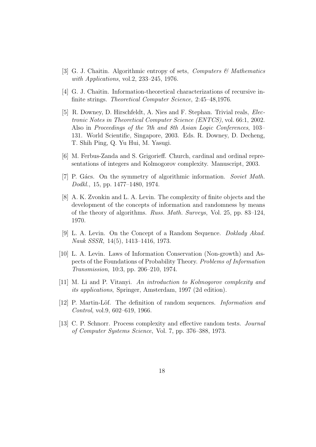- [3] G. J. Chaitin. Algorithmic entropy of sets, *Computers & Mathematics* with Applications, vol.2, 233–245, 1976.
- [4] G. J. Chaitin. Information-theoretical characterizations of recursive infinite strings. Theoretical Computer Science, 2:45–48,1976.
- [5] R. Downey, D. Hirschfeldt, A. Nies and F. Stephan. Trivial reals, Electronic Notes in Theoretical Computer Science (ENTCS), vol. 66:1, 2002. Also in Proceedings of the 7th and 8th Asian Logic Conferences, 103– 131. World Scientific, Singapore, 2003. Eds. R. Downey, D. Decheng, T. Shih Ping, Q. Yu Hui, M. Yasugi.
- [6] M. Ferbus-Zanda and S. Grigorieff. Church, cardinal and ordinal representations of integers and Kolmogorov complexity. Manuscript, 2003.
- [7] P. Gács. On the symmetry of algorithmic information. Soviet Math. Dodkl., 15, pp. 1477–1480, 1974.
- [8] A. K. Zvonkin and L. A. Levin. The complexity of finite objects and the development of the concepts of information and randomness by means of the theory of algorithms. Russ. Math. Surveys, Vol. 25, pp. 83–124, 1970.
- [9] L. A. Levin. On the Concept of a Random Sequence. Doklady Akad. Nauk SSSR, 14(5), 1413–1416, 1973.
- [10] L. A. Levin. Laws of Information Conservation (Non-growth) and Aspects of the Foundations of Probability Theory. Problems of Information Transmission, 10:3, pp. 206–210, 1974.
- [11] M. Li and P. Vitanyi. An introduction to Kolmogorov complexity and its applications, Springer, Amsterdam, 1997 (2d edition).
- [12] P. Martin-Löf. The definition of random sequences. *Information and* Control, vol.9, 602–619, 1966.
- [13] C. P. Schnorr. Process complexity and effective random tests. Journal of Computer Systems Science, Vol. 7, pp. 376–388, 1973.